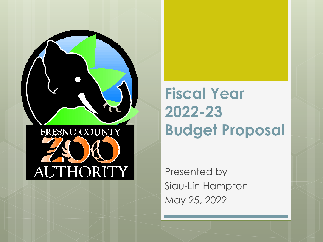

**Fiscal Year 2022-23 Budget Proposal**

Presented by Siau-Lin Hampton May 25, 2022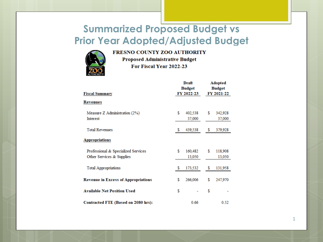## **Summarized Proposed Budget vs Prior Year Adopted/Adjusted Budget**



FRESNO COUNTY ZOO AUTHORITY

**Proposed Administrative Budget** For Fiscal Year 2022-23

| <b>Fiscal Summary</b>                                            |    | Draft<br><b>Budget</b><br>FY 2022-23 |    | <b>Adopted</b><br><b>Budget</b><br>FY 2021-22 |  |  |
|------------------------------------------------------------------|----|--------------------------------------|----|-----------------------------------------------|--|--|
| <b>Revenues</b>                                                  |    |                                      |    |                                               |  |  |
| Measure Z Administration (2%)<br><b>Interest</b>                 | \$ | 402,538<br>37,000                    | \$ | 342,928<br>37,000                             |  |  |
| <b>Total Revenues</b>                                            |    | 439,538                              | s  | 379,928                                       |  |  |
| <b>Appropriations</b>                                            |    |                                      |    |                                               |  |  |
| Professional & Specialized Services<br>Other Services & Supplies | \$ | 160,482<br>13,050                    | S  | 118,908<br>13,050                             |  |  |
| <b>Total Appropriations</b>                                      | s  | 173,532                              | S  | 131,958                                       |  |  |
| <b>Revenue in Excess of Appropriations</b>                       | \$ | 266,006                              | \$ | 247,970                                       |  |  |
| <b>Available Net Position Used</b>                               | \$ |                                      | \$ |                                               |  |  |
| Contracted FTE (Based on 2080 hrs):                              |    | 0.66                                 |    | 0.52                                          |  |  |

1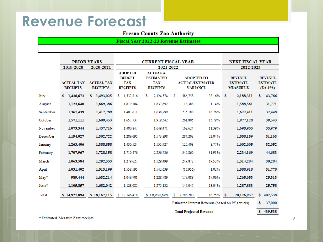## **Revenue Forecast**

### **Fresno County Zoo Authority**

#### **Fiscal Year 2022-23 Revenue Estimates**

|           |                                      | <b>PRIOR YEARS</b>                   | <b>CURRENT FISCAL YEAR</b>                                       |                                                                          |                                                                 | <b>NEXT FISCAL YEAR</b> |                                                       |                                                 |  |
|-----------|--------------------------------------|--------------------------------------|------------------------------------------------------------------|--------------------------------------------------------------------------|-----------------------------------------------------------------|-------------------------|-------------------------------------------------------|-------------------------------------------------|--|
|           | 2019-2020                            | 2020-2021                            |                                                                  | 2021-2022                                                                |                                                                 |                         | 2022-2023                                             |                                                 |  |
|           | <b>ACTUAL TAX</b><br><b>RECEIPTS</b> | <b>ACTUAL TAX</b><br><b>RECEIPTS</b> | <b>ADOPTED</b><br><b>BUDGET</b><br><b>TAX</b><br><b>RECEIPTS</b> | <b>ACTUAL &amp;</b><br><b>ESTIMATED</b><br><b>TAX</b><br><b>RECEIPTS</b> | <b>ADOPTED TO</b><br><b>ACTUAL/ESTIMATED</b><br><b>VARIANCE</b> |                         | <b>REVENUE</b><br><b>ESTIMATE</b><br><b>MEASURE Z</b> | <b>REVENUE</b><br><b>ESTIMATE</b><br>$(ZA 2\%)$ |  |
| July      | 1,436,673<br>s.                      | \$1,493,025                          | 1.537.816<br>s.                                                  | s.<br>2,124,574                                                          | s<br>586,758                                                    | 38.16%                  | s<br>2,188,311                                        | 43,766<br>s                                     |  |
| August    | 1,123,640                            | 1,669,386                            | 1,619,304                                                        | 1,637,692                                                                | 18,388                                                          | 1.14%                   | 1,588,561                                             | 31,771                                          |  |
| September | 1,367,439                            | 1,417,789                            | 1,403,611                                                        | 1,638,799                                                                | 235,188                                                         | 16.76%                  | 1,622,411                                             | 32,448                                          |  |
| October   | 1,571,111                            | 1,609,453                            | 1,657,737                                                        | 1,919,542                                                                | 261,805                                                         | 15.79%                  | 1,977,128                                             | 39,543                                          |  |
| November  | 1,073,344                            | 1,437,716                            | 1,480,847                                                        | 1,649,471                                                                | 168,624                                                         | 11.39%                  | 1,698,955                                             | 33,979                                          |  |
| December  | 1,194,027                            | 1,302,722                            | 1,289,695                                                        | 1,573,898                                                                | 284,203                                                         | 22.04%                  | 1,558,159                                             | 31,163                                          |  |
| January   | 1,263,406                            | 1,388,858                            | 1,430,524                                                        | 1.555.927                                                                | 125,403                                                         | 8.77%                   | 1,602,605                                             | 32,052                                          |  |
| February  | 1,707,967                            | 1,728,158                            | 1,710,876                                                        | 2,256,736                                                                | 545,860                                                         | 31.91%                  | 2,234,169                                             | 44,683                                          |  |
| March     | 1,063,584                            | 1,292,553                            | 1,279,627                                                        | 1,529,499                                                                | 249,872                                                         | 19.53%                  | 1,514,204                                             | 30,284                                          |  |
| April     | 1,031,402                            | 1,513,199                            | 1,558,595                                                        | 1,542,639                                                                | (15,956)                                                        | $-1.02%$                | 1,588,918                                             | 31,778                                          |  |
| $May*$    | 989,444                              | 1,632,214                            | 1,049,701                                                        | 1,228,789                                                                | 179,088                                                         | 17.06%                  | 1,265,653                                             | 25,313                                          |  |
| June*     | 1,105,857                            | 1,682,042                            | 1,128,085                                                        | 1,275,132                                                                | 147,047                                                         | 13.04%                  | 1,287,883                                             | 25,758                                          |  |
| Total     | \$14,927,894                         | \$18,167,115                         | \$17,146,418                                                     | \$19,932,698                                                             | 2,786,280<br>s                                                  | 16.25%                  | - S<br>20,126,957                                     | S.<br>402,538                                   |  |
|           |                                      |                                      |                                                                  |                                                                          |                                                                 |                         | Estimated Interest Revenue (based on PY actuals)      | 37,000<br>s                                     |  |
|           |                                      |                                      |                                                                  |                                                                          | <b>Total Projected Revenue</b>                                  |                         |                                                       | \$439,538                                       |  |

\* Estimated Measure Z tax receipts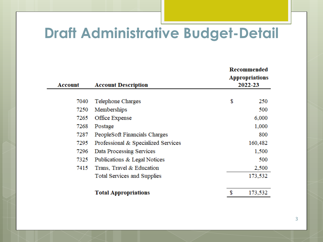# **Draft Administrative Budget-Detail**

| <b>Account</b><br><b>Account Description</b> |                                     |    | Recommended<br><b>Appropriations</b><br>2022-23 |  |  |
|----------------------------------------------|-------------------------------------|----|-------------------------------------------------|--|--|
|                                              |                                     |    |                                                 |  |  |
| 7040                                         | Telephone Charges                   | \$ | 250                                             |  |  |
| 7250                                         | Memberships                         |    | 500                                             |  |  |
| 7265                                         | Office Expense                      |    | 6,000                                           |  |  |
| 7268                                         | Postage                             |    | 1,000                                           |  |  |
| 7287                                         | PeopleSoft Financials Charges       |    | 800                                             |  |  |
| 7295                                         | Professional & Specialized Services |    | 160,482                                         |  |  |
| 7296                                         | Data Processing Services            |    | 1,500                                           |  |  |
| 7325                                         | Publications & Legal Notices        |    | 500                                             |  |  |
| 7415                                         | Trans, Travel & Education           |    | 2,500                                           |  |  |
|                                              | Total Services and Supplies         |    | 173,532                                         |  |  |
|                                              | <b>Total Appropriations</b>         |    | 173,532                                         |  |  |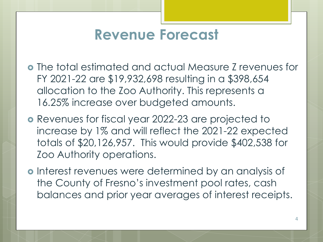# **Revenue Forecast**

- The total estimated and actual Measure Z revenues for FY 2021-22 are \$19,932,698 resulting in a \$398,654 allocation to the Zoo Authority. This represents a 16.25% increase over budgeted amounts.
- Revenues for fiscal year 2022-23 are projected to increase by 1% and will reflect the 2021-22 expected totals of \$20,126,957. This would provide \$402,538 for Zoo Authority operations.
- o Interest revenues were determined by an analysis of the County of Fresno's investment pool rates, cash balances and prior year averages of interest receipts.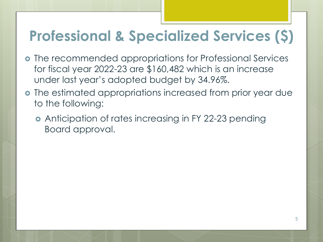# **Professional & Specialized Services (\$)**

- The recommended appropriations for Professional Services for fiscal year 2022-23 are \$160,482 which is an increase under last year's adopted budget by 34.96%.
- The estimated appropriations increased from prior year due to the following:
	- **•** Anticipation of rates increasing in FY 22-23 pending Board approval.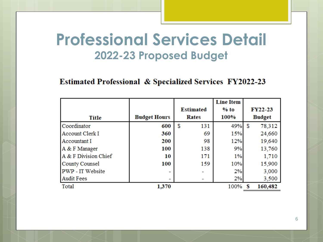# **Professional Services Detail 2022-23 Proposed Budget**

### Estimated Professional & Specialized Services FY2022-23

|                         |                     |                  | <b>Line Item</b> |                |  |
|-------------------------|---------------------|------------------|------------------|----------------|--|
|                         |                     | <b>Estimated</b> | $%$ to           | <b>FY22-23</b> |  |
| <b>Title</b>            | <b>Budget Hours</b> | Rates            | 100%             | <b>Budget</b>  |  |
| Coordinator             | 600                 | \$<br>131        | 49%              | \$<br>78,312   |  |
| <b>Account Clerk I</b>  | 360                 | 69               | 15%              | 24,660         |  |
| Accountant I            | 200                 | 98               | 12%              | 19,640         |  |
| A & F Manager           | 100                 | 138              | 9%               | 13,760         |  |
| A & F Division Chief    | 10                  | 171              | 1%               | 1,710          |  |
| County Counsel          | 100                 | 159              | 10%              | 15,900         |  |
| <b>PWP</b> - IT Website |                     |                  | 2%               | 3,000          |  |
| <b>Audit Fees</b>       | -                   |                  | 2%               | 3,500          |  |
| Total                   | 1,370               |                  | 100%             | 160,482        |  |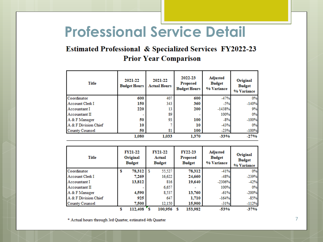# **Professional Service Detail**

### Estimated Professional & Specialized Services FY2022-23 **Prior Year Comparison**

| Title                  | 2021-22<br><b>Budget Hours</b> | 2021-22<br><b>Actual Hours</b> | 2022-23<br>Proposed<br><b>Budget Hours</b> | <b>Adjusted</b><br><b>Budget</b><br>% Variance | Original<br><b>Budget</b><br>% Variance |
|------------------------|--------------------------------|--------------------------------|--------------------------------------------|------------------------------------------------|-----------------------------------------|
| Coordinator            | 600                            | 407                            | 600                                        | $-47%$                                         | 0%                                      |
| <b>Account Clerk I</b> | 150                            | 343                            | 360                                        | $-5%$                                          | $-140%$                                 |
| Accountant I           | 220                            | 13                             | 200                                        | $-1438%$                                       | 9%                                      |
| Accountant II          |                                | 89                             |                                            | 100%                                           | 0%                                      |
| A & F Manager          | 50                             | 93                             | 100                                        | $-8%$                                          | $-100%$                                 |
| A & F Division Chief   | 10                             |                                | 10                                         | $-43%$                                         | 0%                                      |
| <b>County Counsel</b>  | 50                             | 81                             | 100                                        | $-23%$                                         | $-100%$                                 |
|                        | 1.080                          | 1,033                          | 1.370                                      | -33%                                           | $-27%$                                  |

| Title                  |   | <b>FY21-22</b><br>Original<br><b>Budget</b> |   | <b>FY21-22</b><br>Actual<br><b>Budget</b> | <b>FY22-23</b><br>Proposed<br><b>Budget</b> | <b>Adjusted</b><br><b>Budget</b><br>% Variance | Original<br><b>Budget</b><br>% Variance |
|------------------------|---|---------------------------------------------|---|-------------------------------------------|---------------------------------------------|------------------------------------------------|-----------------------------------------|
| Coordinator            | S | 78,312                                      | s | 55,527                                    | 78,312                                      | $-41%$                                         | 0%                                      |
| <b>Account Clerk I</b> |   | 7,269                                       |   | 16.622                                    | 24,660                                      | $-48%$                                         | $-239%$                                 |
| Accountant I           |   | 13,812                                      |   | 816                                       | 19,640                                      | $-2306%$                                       | $-42%$                                  |
| Accountant II          |   |                                             |   | 6,657                                     |                                             | 100%                                           | 0%                                      |
| A & F Manager          |   | 4,590                                       |   | 8.537                                     | 13,760                                      | $-61%$                                         | $-200%$                                 |
| A & F Division Chief   |   | 925                                         |   | 647                                       | 1,710                                       | $-164%$                                        | $-85%$                                  |
| <b>County Counsel</b>  |   | 7.500                                       |   | 12.150                                    | 15,900                                      | $-31%$                                         | $-112%$                                 |
|                        |   | 112,408                                     |   | 100,956                                   | 153,982                                     | -53%                                           | -37%                                    |

\* Actual hours through 3rd Quarter, estimated 4th Quarter